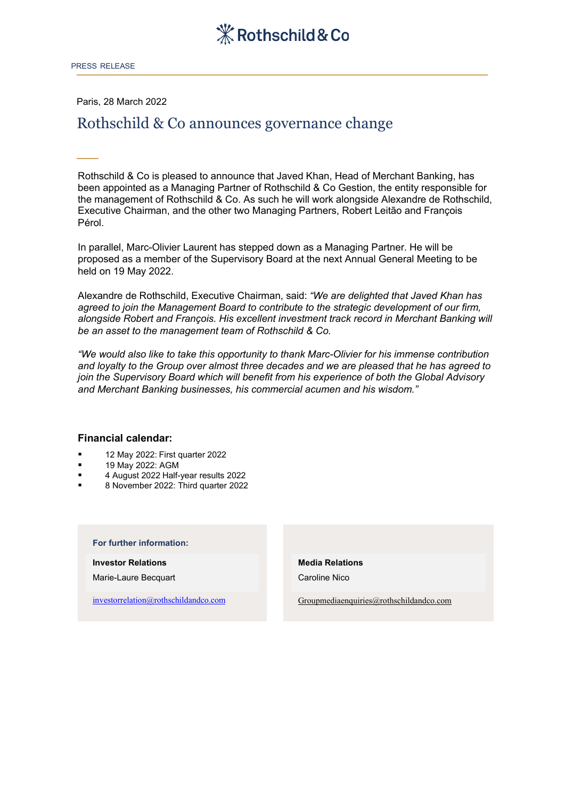

Paris, 28 March 2022

# Rothschild & Co announces governance change

Rothschild & Co is pleased to announce that Javed Khan, Head of Merchant Banking, has been appointed as a Managing Partner of Rothschild & Co Gestion, the entity responsible for the management of Rothschild & Co. As such he will work alongside Alexandre de Rothschild, Executive Chairman, and the other two Managing Partners, Robert Leitão and François Pérol.

In parallel, Marc-Olivier Laurent has stepped down as a Managing Partner. He will be proposed as a member of the Supervisory Board at the next Annual General Meeting to be held on 19 May 2022.

Alexandre de Rothschild, Executive Chairman, said: *"We are delighted that Javed Khan has agreed to join the Management Board to contribute to the strategic development of our firm, alongside Robert and François. His excellent investment track record in Merchant Banking will be an asset to the management team of Rothschild & Co.* 

*"We would also like to take this opportunity to thank Marc-Olivier for his immense contribution and loyalty to the Group over almost three decades and we are pleased that he has agreed to join the Supervisory Board which will benefit from his experience of both the Global Advisory and Merchant Banking businesses, his commercial acumen and his wisdom."*

### **Financial calendar:**

- **12 May 2022: First quarter 2022**
- **19 May 2022: AGM**
- 4 August 2022 Half-year results 2022
- 8 November 2022: Third quarter 2022

#### **For further information:**

**Investor Relations**

Marie-Laure Becquart

[investorrelation@rothschildandco.com](mailto:investorrelation@rothschildandco.com)

## **Media Relations**

Caroline Nico

[Groupmediaenquiries@rothschildandco.com](mailto:Groupmediaenquiries@rothschildandco.com)